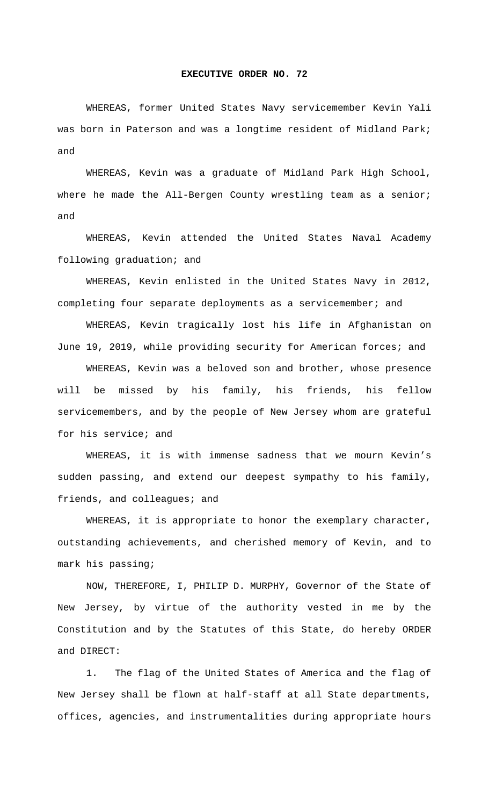## **EXECUTIVE ORDER NO. 72**

 WHEREAS, former United States Navy servicemember Kevin Yali was born in Paterson and was a longtime resident of Midland Park; and

 WHEREAS, Kevin was a graduate of Midland Park High School, where he made the All-Bergen County wrestling team as a senior; and

 WHEREAS, Kevin attended the United States Naval Academy following graduation; and

 WHEREAS, Kevin enlisted in the United States Navy in 2012, completing four separate deployments as a servicemember; and

 WHEREAS, Kevin tragically lost his life in Afghanistan on June 19, 2019, while providing security for American forces; and

 WHEREAS, Kevin was a beloved son and brother, whose presence will be missed by his family, his friends, his fellow servicemembers, and by the people of New Jersey whom are grateful for his service; and

 WHEREAS, it is with immense sadness that we mourn Kevin's sudden passing, and extend our deepest sympathy to his family, friends, and colleagues; and

 WHEREAS, it is appropriate to honor the exemplary character, outstanding achievements, and cherished memory of Kevin, and to mark his passing;

 NOW, THEREFORE, I, PHILIP D. MURPHY, Governor of the State of New Jersey, by virtue of the authority vested in me by the Constitution and by the Statutes of this State, do hereby ORDER and DIRECT:

 1. The flag of the United States of America and the flag of New Jersey shall be flown at half-staff at all State departments, offices, agencies, and instrumentalities during appropriate hours